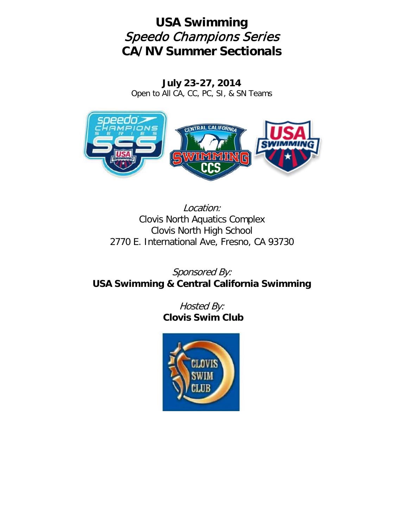# **USA Swimming** Speedo Champions Series **CA/NV Summer Sectionals**

**July 23-27, 2014** Open to All CA, CC, PC, SI, & SN Teams



Location: Clovis North Aquatics Complex Clovis North High School 2770 E. International Ave, Fresno, CA 93730

Sponsored By: **USA Swimming & Central California Swimming**

> Hosted By: **Clovis Swim Club**

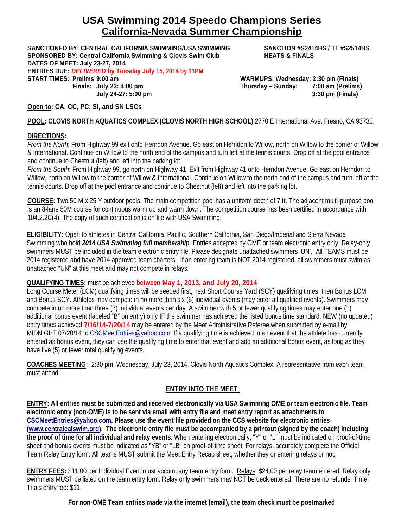# **USA Swimming 2014 Speedo Champions Series California-Nevada Summer Championship**

**SANCTIONED BY: CENTRAL CALIFORNIA SWIMMING/USA SWIMMING SANCTION #S2414BS / TT #S2514BS SPONSORED BY: Central California Swimming & Clovis Swim Club HEATS & FINALS DATES OF MEET: July 23-27, 2014 ENTRIES DUE:** *DELIVERED* **by Tuesday July 15, 2014 by 11PM START TIMES: Prelims 9:00 am WARMUPS: Wednesday: 2:30 pm (Finals) Finals: July 23: 4:00 pm Thursday – Sunday: 7:00 am (Prelims)**

**July 24-27: 5:00 pm 3:30 pm (Finals)**

**Open to: CA, CC, PC, SI, and SN LSCs**

**POOL: CLOVIS NORTH AQUATICS COMPLEX (CLOVIS NORTH HIGH SCHOOL)** 2770 E International Ave. Fresno, CA 93730.

#### **DIRECTIONS:**

*From the North*: From Highway 99 exit onto Herndon Avenue. Go east on Herndon to Willow, north on Willow to the corner of Willow & International. Continue on Willow to the north end of the campus and turn left at the tennis courts. Drop off at the pool entrance and continue to Chestnut (left) and left into the parking lot.

*From the South*: From Highway 99, go north on Highway 41. Exit from Highway 41 onto Herndon Avenue. Go east on Herndon to Willow, north on Willow to the corner of Willow & International. Continue on Willow to the north end of the campus and turn left at the tennis courts. Drop off at the pool entrance and continue to Chestnut (left) and left into the parking lot.

**COURSE:** Two 50 M x 25 Y outdoor pools. The main competition pool has a uniform depth of 7 ft. The adjacent multi-purpose pool is an 8-lane 50M course for continuous warm up and warm down. The competition course has been certified in accordance with 104.2.2C(4). The copy of such certification is on file with USA Swimming.

**ELIGIBILITY:** Open to athletes in Central California, Pacific, Southern California, San Diego/Imperial and Sierra Nevada Swimming who hold *2014 USA Swimming full membership*. Entries accepted by OME or team electronic entry only. Relay-only swimmers MUST be included in the team electronic entry file. Please designate unattached swimmers 'UN'. All TEAMS must be 2014 registered and have 2014 approved team charters. If an entering team is NOT 2014 registered, all swimmers must swim as unattached "UN" at this meet and may not compete in relays.

### **QUALIFYING TIMES:** must be achieved **between May 1, 2013, and July 20, 2014**

Long Course Meter (LCM) qualifying times will be seeded first, next Short Course Yard (SCY) qualifying times, then Bonus LCM and Bonus SCY. Athletes may compete in no more than six (6) individual events (may enter all qualified events). Swimmers may compete in no more than three (3) individual events per day. A swimmer with 5 or fewer qualifying times may enter one (1) additional bonus event (labeled "B" on entry) only IF the swimmer has achieved the listed bonus time standard. NEW (no updated) entry times achieved **7/16/14-7/20/14** may be entered by the Meet Administrative Referee when submitted by e-mail by MIDNIGHT 07/20/14 to [CSCMeetEntries@yahoo.com.](mailto:CSCMeetEntries@yahoo.com) If a qualifying time is achieved in an event that the athlete has currently entered as bonus event, they can use the qualifying time to enter that event and add an additional bonus event, as long as they have five (5) or fewer total qualifying events.

**COACHES MEETING:** 2:30 pm, Wednesday, July 23, 2014, Clovis North Aquatics Complex. A representative from each team must attend.

### **ENTRY INTO THE MEET**

**ENTRY: All entries must be submitted and received electronically via USA Swimming OME or team electronic file. Team electronic entry (non-OME) is to be sent via email with entry file and meet entry report as attachments to [CSCMeetEntries@yahoo.com.](mailto:CSCMeetEntries@yahoo.com) Please use the event file provided on the CCS website for electronic entries [\(www.centralcalswim.org\)](http://www.centralcalswim.org/). The electronic entry file must be accompanied by a printout (signed by the coach) including the proof of time for all individual and relay events.** When entering electronically, "Y" or "L" must be indicated on proof-of-time sheet and bonus events must be indicated as "YB" or "LB" on proof-of-time sheet. For relays, accurately complete the Official Team Relay Entry form. All teams MUST submit the Meet Entry Recap sheet, whether they or entering relays or not.

**ENTRY FEES:** \$11.00 per Individual Event must accompany team entry form. Relays: \$24.00 per relay team entered. Relay only swimmers MUST be listed on the team entry form. Relay only swimmers may NOT be deck entered. There are no refunds. Time Trials entry fee: \$11.

**For non-OME Team entries made via the internet (email), the team check must be postmarked**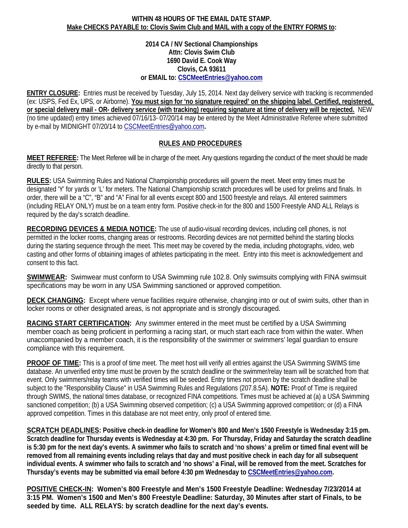#### **WITHIN 48 HOURS OF THE EMAIL DATE STAMP. Make CHECKS PAYABLE to: Clovis Swim Club and MAIL with a copy of the ENTRY FORMS to:**

**2014 CA / NV Sectional Championships Attn: Clovis Swim Club 1690 David E. Cook Way Clovis, CA 93611 or EMAIL to: [CSCMeetEntries@yahoo.com](mailto:CSCMeetEntries@yahoo.com)**

**ENTRY CLOSURE:** Entries must be received by Tuesday, July 15, 2014. Next day delivery service with tracking is recommended (ex: USPS, Fed Ex, UPS, or Airborne). **You must sign for 'no signature required' on the shipping label. Certified, registered, or special delivery mail - OR- delivery service (with tracking) requiring signature at time of delivery will be rejected.** NEW (no time updated) entry times achieved 07/16/13- 07/20/14 may be entered by the Meet Administrative Referee where submitted by e-mail by MIDNIGHT 07/20/14 to [CSCMeetEntries@yahoo.com](mailto:CSCMeetEntries@yahoo.com)**.**

### **RULES AND PROCEDURES**

**MEET REFEREE:** The Meet Referee will be in charge of the meet. Any questions regarding the conduct of the meet should be made directly to that person.

**RULES:** USA Swimming Rules and National Championship procedures will govern the meet. Meet entry times must be designated 'Y' for yards or 'L' for meters. The National Championship scratch procedures will be used for prelims and finals. In order, there will be a "C", "B" and "A" Final for all events except 800 and 1500 freestyle and relays. All entered swimmers (including RELAY ONLY) must be on a team entry form. Positive check-in for the 800 and 1500 Freestyle AND ALL Relays is required by the day's scratch deadline.

**RECORDING DEVICES & MEDIA NOTICE:** The use of audio-visual recording devices, including cell phones, is not permitted in the locker rooms, changing areas or restrooms. Recording devices are not permitted behind the starting blocks during the starting sequence through the meet. This meet may be covered by the media, including photographs, video, web casting and other forms of obtaining images of athletes participating in the meet. Entry into this meet is acknowledgement and consent to this fact.

**SWIMWEAR:** Swimwear must conform to USA Swimming rule 102.8. Only swimsuits complying with FINA swimsuit specifications may be worn in any USA Swimming sanctioned or approved competition.

**DECK CHANGING:** Except where venue facilities require otherwise, changing into or out of swim suits, other than in locker rooms or other designated areas, is not appropriate and is strongly discouraged.

**RACING START CERTIFICATION:** Any swimmer entered in the meet must be certified by a USA Swimming member coach as being proficient in performing a racing start, or much start each race from within the water. When unaccompanied by a member coach, it is the responsibility of the swimmer or swimmers' legal guardian to ensure compliance with this requirement.

**PROOF OF TIME:** This is a proof of time meet. The meet host will verify all entries against the USA Swimming SWIMS time database. An unverified entry time must be proven by the scratch deadline or the swimmer/relay team will be scratched from that event. Only swimmers/relay teams with verified times will be seeded. Entry times not proven by the scratch deadline shall be subject to the "Responsibility Clause" in USA Swimming Rules and Regulations (207.8.5A). **NOTE:** Proof of Time is required through SWIMS, the national times database, or recognized FINA competitions. Times must be achieved at (a) a USA Swimming sanctioned competition; (b) a USA Swimming observed competition; (c) a USA Swimming approved competition; or (d) a FINA approved competition. Times in this database are not meet entry, only proof of entered time.

**SCRATCH DEADLINES: Positive check-in deadline for Women's 800 and Men's 1500 Freestyle is Wednesday 3:15 pm. Scratch deadline for Thursday events is Wednesday at 4:30 pm. For Thursday, Friday and Saturday the scratch deadline is 5:30 pm for the next day's events. A swimmer who fails to scratch and 'no shows' a prelim or timed final event will be removed from all remaining events including relays that day and must positive check in each day for all subsequent individual events. A swimmer who fails to scratch and 'no shows' a Final, will be removed from the meet. Scratches for Thursday's events may be submitted via email before 4:30 pm Wednesday to [CSCMeetEntries@yahoo.com.](mailto:CSCMeetEntries@yahoo.com)**

**POSITIVE CHECK-IN: Women's 800 Freestyle and Men's 1500 Freestyle Deadline: Wednesday 7/23/2014 at 3:15 PM. Women's 1500 and Men's 800 Freestyle Deadline: Saturday, 30 Minutes after start of Finals, to be seeded by time. ALL RELAYS: by scratch deadline for the next day's events.**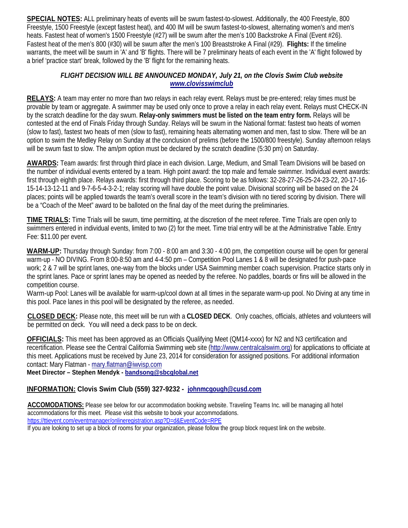**SPECIAL NOTES:** ALL preliminary heats of events will be swum fastest-to-slowest. Additionally, the 400 Freestyle, 800 Freestyle, 1500 Freestyle (except fastest heat), and 400 IM will be swum fastest-to-slowest, alternating women's and men's heats. Fastest heat of women's 1500 Freestyle (#27) will be swum after the men's 100 Backstroke A Final (Event #26). Fastest heat of the men's 800 (#30) will be swum after the men's 100 Breaststroke A Final (#29). **Flights:** If the timeline warrants, the meet will be swum in 'A' and 'B' flights. There will be 7 preliminary heats of each event in the 'A' flight followed by a brief 'practice start' break, followed by the 'B' flight for the remaining heats.

### *FLIGHT DECISION WILL BE ANNOUNCED MONDAY, July 21, on the Clovis Swim Club website [www.clovisswimclub](http://www.clovisswimclub/)*

**RELAYS:** A team may enter no more than two relays in each relay event. Relays must be pre-entered; relay times must be provable by team or aggregate. A swimmer may be used only once to prove a relay in each relay event. Relays must CHECK-IN by the scratch deadline for the day swum. **Relay-only swimmers must be listed on the team entry form.** Relays will be contested at the end of Finals Friday through Sunday. Relays will be swum in the National format: fastest two heats of women (slow to fast), fastest two heats of men (slow to fast), remaining heats alternating women and men, fast to slow. There will be an option to swim the Medley Relay on Sunday at the conclusion of prelims (before the 1500/800 freestyle). Sunday afternoon relays will be swum fast to slow. The am/pm option must be declared by the scratch deadline (5:30 pm) on Saturday.

**AWARDS:** Team awards: first through third place in each division. Large, Medium, and Small Team Divisions will be based on the number of individual events entered by a team. High point award: the top male and female swimmer. Individual event awards: first through eighth place. Relays awards: first through third place. Scoring to be as follows: 32-28-27-26-25-24-23-22, 20-17-16- 15-14-13-12-11 and 9-7-6-5-4-3-2-1; relay scoring will have double the point value. Divisional scoring will be based on the 24 places; points will be applied towards the team's overall score in the team's division with no tiered scoring by division. There will be a "Coach of the Meet" award to be balloted on the final day of the meet during the preliminaries.

**TIME TRIALS:** Time Trials will be swum, time permitting, at the discretion of the meet referee. Time Trials are open only to swimmers entered in individual events, limited to two (2) for the meet. Time trial entry will be at the Administrative Table. Entry Fee: \$11.00 per event.

**WARM-UP:** Thursday through Sunday: from 7:00 - 8:00 am and 3:30 - 4:00 pm, the competition course will be open for general warm-up - NO DIVING. From 8:00-8:50 am and 4-4:50 pm – Competition Pool Lanes 1 & 8 will be designated for push-pace work; 2 & 7 will be sprint lanes, one-way from the blocks under USA Swimming member coach supervision. Practice starts only in the sprint lanes. Pace or sprint lanes may be opened as needed by the referee. No paddles, boards or fins will be allowed in the competition course.

Warm-up Pool: Lanes will be available for warm-up/cool down at all times in the separate warm-up pool. No Diving at any time in this pool. Pace lanes in this pool will be designated by the referee, as needed.

**CLOSED DECK:** Please note, this meet will be run with a **CLOSED DECK**. Only coaches, officials, athletes and volunteers will be permitted on deck. You will need a deck pass to be on deck.

**OFFICIALS:** This meet has been approved as an Officials Qualifying Meet (QM14-xxxx) for N2 and N3 certification and recertification. Please see the Central California Swimming web site [\(http://www.centralcalswim.org\)](http://www.centralcalswim.org/) for applications to officiate at this meet. Applications must be received by June 23, 2014 for consideration for assigned positions. For additional information contact: Mary Flatman - [mary.flatman@iwvisp.com](mailto:mary.flatman@iwvisp.com)

**Meet Director – Stephen Mendyk - [bandsong@sbcglobal.net](mailto:bandsong@sbcglobal.net)**

### **INFORMATION: Clovis Swim Club (559) 327-9232 - johnmcgough@cusd.com**

ACCOMODATIONS: Please see below for our accommodation booking website. Traveling Teams Inc. will be managing all hotel accommodations for this meet. Please visit this website to book your accommodations. <https://ttievent.com/eventmanager/onlineregistration.asp?D=d&EventCode=RPE>

If you are looking to set up a block of rooms for your organization, please follow the group block request link on the website.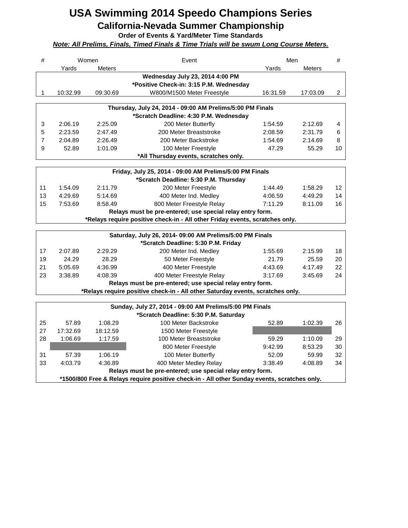# **USA Swimming 2014 Speedo Champions Series California-Nevada Summer Championship**

**Order of Events & Yard/Meter Time Standards**

*Note: All Prelims, Finals, Timed Finals & Time Trials will be swum Long Course Meters.*

| #              |                                                                                              | Women<br>Men<br>Event |                                                                                |          | #             |                |
|----------------|----------------------------------------------------------------------------------------------|-----------------------|--------------------------------------------------------------------------------|----------|---------------|----------------|
|                | Yards                                                                                        | <b>Meters</b>         |                                                                                | Yards    | <b>Meters</b> |                |
|                |                                                                                              |                       | Wednesday July 23, 2014 4:00 PM                                                |          |               |                |
|                |                                                                                              |                       | *Positive Check-in: 3:15 P.M. Wednesday                                        |          |               |                |
| 1              | 10:32.99                                                                                     | 09:30.69              | W800/M1500 Meter Freestyle                                                     | 16:31.59 | 17:03.09      | $\overline{2}$ |
|                |                                                                                              |                       |                                                                                |          |               |                |
|                |                                                                                              |                       | Thursday, July 24, 2014 - 09:00 AM Prelims/5:00 PM Finals                      |          |               |                |
|                |                                                                                              |                       | *Scratch Deadline: 4:30 P.M. Wednesday                                         |          |               |                |
| 3              | 2:06.19                                                                                      | 2:25.09               | 200 Meter Butterfly                                                            | 1:54.59  | 2:12.69       | 4              |
| 5              | 2:23.59                                                                                      | 2:47.49               | 200 Meter Breaststroke                                                         | 2:08.59  | 2:31.79       | 6              |
| $\overline{7}$ | 2:04.89                                                                                      | 2:26.49               | 200 Meter Backstroke                                                           | 1:54.69  | 2:14.69       | 8              |
| 9              | 52.89                                                                                        | 1:01.09               | 100 Meter Freestyle                                                            | 47.29    | 55.29         | 10             |
|                |                                                                                              |                       | *All Thursday events, scratches only.                                          |          |               |                |
|                |                                                                                              |                       | Friday, July 25, 2014 - 09:00 AM Prelims/5:00 PM Finals                        |          |               |                |
|                |                                                                                              |                       | *Scratch Deadline: 5:30 P.M. Thursday                                          |          |               |                |
| 11             | 1:54.09                                                                                      | 2:11.79               | 200 Meter Freestyle                                                            | 1:44.49  | 1:58.29       | 12             |
| 13             | 4:29.69                                                                                      | 5:14.69               | 400 Meter Ind. Medley                                                          | 4:06.59  | 4:49.29       | 14             |
| 15             | 7:53.69                                                                                      | 8:58.49               | 800 Meter Freestyle Relay                                                      | 7:11.29  | 8:11.09       | 16             |
|                |                                                                                              |                       | Relays must be pre-entered; use special relay entry form.                      |          |               |                |
|                |                                                                                              |                       | *Relays require positive check-in - All other Friday events, scratches only.   |          |               |                |
|                |                                                                                              |                       |                                                                                |          |               |                |
|                |                                                                                              |                       | Saturday, July 26, 2014- 09:00 AM Prelims/5:00 PM Finals                       |          |               |                |
|                |                                                                                              |                       | *Scratch Deadline: 5:30 P.M. Friday                                            |          |               |                |
| 17             | 2:07.89                                                                                      | 2:29.29               | 200 Meter Ind. Medley                                                          | 1:55.69  | 2:15.99       | 18             |
| 19             | 24.29                                                                                        | 28.29                 | 50 Meter Freestyle                                                             | 21.79    | 25.59         | 20             |
| 21             | 5:05.69                                                                                      | 4:36.99               | 400 Meter Freestyle                                                            | 4:43.69  | 4:17.49       | 22             |
| 23             | 3:38.89                                                                                      | 4:08.39               | 400 Meter Freestyle Relay                                                      | 3:17.69  | 3:45.69       | 24             |
|                |                                                                                              |                       | Relays must be pre-entered; use special relay entry form.                      |          |               |                |
|                |                                                                                              |                       | *Relays require positive check-in - All other Saturday events, scratches only. |          |               |                |
|                |                                                                                              |                       |                                                                                |          |               |                |
|                |                                                                                              |                       | Sunday, July 27, 2014 - 09:00 AM Prelims/5:00 PM Finals                        |          |               |                |
|                |                                                                                              |                       | *Scratch Deadline: 5:30 P.M. Saturday                                          |          |               |                |
| 25             | 57.89                                                                                        | 1:08.29               | 100 Meter Backstroke                                                           | 52.89    | 1:02.39       | 26             |
| 27             | 17:32.69                                                                                     | 18:12.59              | 1500 Meter Freestyle                                                           |          |               |                |
| 28             | 1:06.69                                                                                      | 1:17.59               | 100 Meter Breaststroke                                                         | 59.29    | 1:10.09       | 29             |
|                |                                                                                              |                       | 800 Meter Freestyle                                                            | 9:42.99  | 8:53.29       | 30             |
| 31             | 57.39                                                                                        | 1:06.19               | 100 Meter Butterfly                                                            | 52.09    | 59.99         | 32             |
| 33             | 4:03.79                                                                                      | 4:36.89               | 400 Meter Medley Relay                                                         | 3:38.49  | 4:08.89       | 34             |
|                | Relays must be pre-entered; use special relay entry form.                                    |                       |                                                                                |          |               |                |
|                | *1500/800 Free & Relays require positive check-in - All other Sunday events, scratches only. |                       |                                                                                |          |               |                |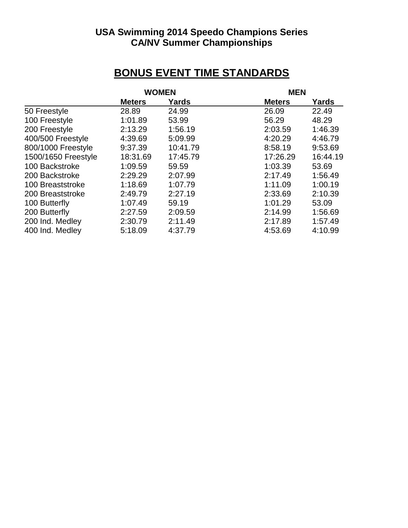# **USA Swimming 2014 Speedo Champions Series CA/NV Summer Championships**

# **BONUS EVENT TIME STANDARDS**

|                     |               | <b>WOMEN</b> |               | <b>MEN</b> |  |
|---------------------|---------------|--------------|---------------|------------|--|
|                     | <b>Meters</b> | Yards        | <b>Meters</b> | Yards      |  |
| 50 Freestyle        | 28.89         | 24.99        | 26.09         | 22.49      |  |
| 100 Freestyle       | 1:01.89       | 53.99        | 56.29         | 48.29      |  |
| 200 Freestyle       | 2:13.29       | 1:56.19      | 2:03.59       | 1:46.39    |  |
| 400/500 Freestyle   | 4:39.69       | 5:09.99      | 4:20.29       | 4:46.79    |  |
| 800/1000 Freestyle  | 9:37.39       | 10:41.79     | 8:58.19       | 9:53.69    |  |
| 1500/1650 Freestyle | 18:31.69      | 17:45.79     | 17:26.29      | 16:44.19   |  |
| 100 Backstroke      | 1:09.59       | 59.59        | 1:03.39       | 53.69      |  |
| 200 Backstroke      | 2:29.29       | 2:07.99      | 2:17.49       | 1:56.49    |  |
| 100 Breaststroke    | 1:18.69       | 1:07.79      | 1:11.09       | 1:00.19    |  |
| 200 Breaststroke    | 2:49.79       | 2:27.19      | 2:33.69       | 2:10.39    |  |
| 100 Butterfly       | 1:07.49       | 59.19        | 1:01.29       | 53.09      |  |
| 200 Butterfly       | 2:27.59       | 2:09.59      | 2:14.99       | 1:56.69    |  |
| 200 Ind. Medley     | 2:30.79       | 2:11.49      | 2:17.89       | 1:57.49    |  |
| 400 Ind. Medley     | 5:18.09       | 4:37.79      | 4:53.69       | 4:10.99    |  |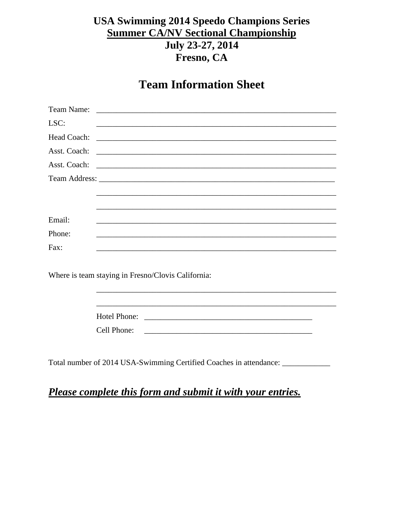# **USA Swimming 2014 Speedo Champions Series Summer CA/NV Sectional Championship** July 23-27, 2014 Fresno, CA

# **Team Information Sheet**

| LSC:         |                                                                                                                       |
|--------------|-----------------------------------------------------------------------------------------------------------------------|
| Head Coach:  |                                                                                                                       |
| Asst. Coach: |                                                                                                                       |
| Asst. Coach: |                                                                                                                       |
|              |                                                                                                                       |
|              |                                                                                                                       |
|              |                                                                                                                       |
| Email:       |                                                                                                                       |
| Phone:       |                                                                                                                       |
| Fax:         | <u> 1989 - Johann Harry Harry Harry Harry Harry Harry Harry Harry Harry Harry Harry Harry Harry Harry Harry Harry</u> |
|              |                                                                                                                       |
|              | Where is team staying in Fresno/Clovis California:                                                                    |
|              |                                                                                                                       |
|              |                                                                                                                       |
|              |                                                                                                                       |
|              | Cell Phone:                                                                                                           |
|              |                                                                                                                       |
|              |                                                                                                                       |

Total number of 2014 USA-Swimming Certified Coaches in attendance: \_\_\_\_\_\_\_\_\_\_\_\_\_

Please complete this form and submit it with your entries.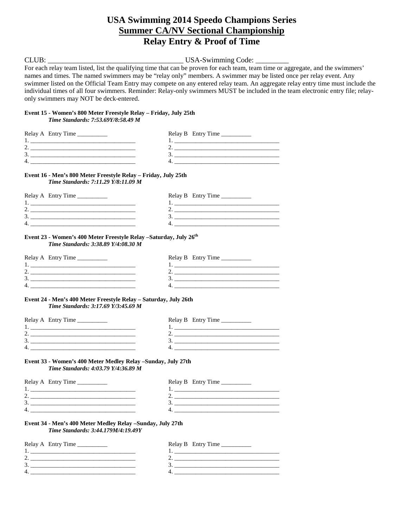## **USA Swimming 2014 Speedo Champions Series Summer CA/NV Sectional Championship Relay Entry & Proof of Time**

## CLUB: USA-Swimming Code:

For each relay team listed, list the qualifying time that can be proven for each team, team time or aggregate, and the swimmers' names and times. The named swimmers may be "relay only" members. A swimmer may be listed once per relay event. Any swimmer listed on the Official Team Entry may compete on any entered relay team. An aggregate relay entry time must include the individual times of all four swimmers. Reminder: Relay-only swimmers MUST be included in the team electronic entry file; relayonly swimmers may NOT be deck-entered.

#### **Event 15 - Women's 800 Meter Freestyle Relay – Friday, July 25th**

*Time Standards: 7:53.69Y/8:58.49 M*

| Relay A Entry Time | Relay B Entry Time |
|--------------------|--------------------|
|                    |                    |
|                    |                    |
|                    |                    |
|                    |                    |
|                    |                    |

**Event 16 - Men's 800 Meter Freestyle Relay – Friday, July 25th** *Time Standards: 7:11.29 Y/8:11.09 M*

| Relay A Entry Time | Relay B Entry Time |
|--------------------|--------------------|
|                    |                    |
|                    |                    |
|                    |                    |
|                    |                    |

#### **Event 23 - Women's 400 Meter Freestyle Relay –Saturday, July 26th** *Time Standards: 3:38.89 Y/4:08.30 M*

| Relay A Entry Time | Relay B Entry Time |
|--------------------|--------------------|
|                    |                    |
|                    |                    |
| ◡                  |                    |
| 4                  |                    |

#### **Event 24 - Men's 400 Meter Freestyle Relay – Saturday, July 26th** *Time Standards: 3:17.69 Y/3:45.69 M*

| Relay A Entry Time | Relay B Entry Time |
|--------------------|--------------------|
|                    |                    |
|                    |                    |
|                    |                    |
| 4                  |                    |
|                    |                    |

#### **Event 33 - Women's 400 Meter Medley Relay –Sunday, July 27th** *Time Standards: 4:03.79 Y/4:36.89 M*

| Relay A Entry Time | Relay B Entry Time |
|--------------------|--------------------|
|                    |                    |
| ـ.                 |                    |
|                    |                    |
|                    |                    |
|                    |                    |

#### **Event 34 - Men's 400 Meter Medley Relay –Sunday, July 27th** *Time Standards: 3:44.179M/4:19.49Y*

| Relay A Entry Time | Relay B Entry Time |
|--------------------|--------------------|
|                    |                    |
|                    |                    |
|                    |                    |
|                    |                    |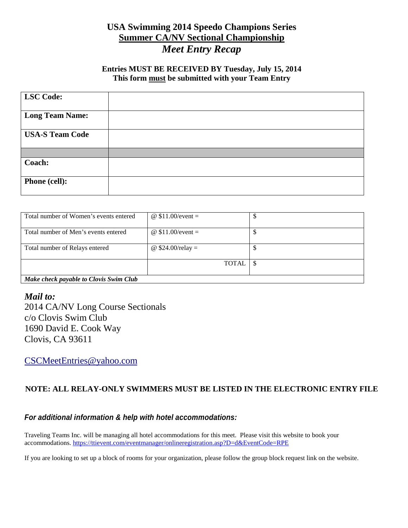# **USA Swimming 2014 Speedo Champions Series Summer CA/NV Sectional Championship** *Meet Entry Recap*

### **Entries MUST BE RECEIVED BY Tuesday, July 15, 2014 This form must be submitted with your Team Entry**

| <b>LSC Code:</b>       |  |
|------------------------|--|
|                        |  |
| <b>Long Team Name:</b> |  |
| <b>USA-S Team Code</b> |  |
|                        |  |
| Coach:                 |  |
| <b>Phone (cell):</b>   |  |

| Total number of Women's events entered | @ $$11.00/event =$ |  |  |  |
|----------------------------------------|--------------------|--|--|--|
| Total number of Men's events entered   | @ $$11.00/event =$ |  |  |  |
| Total number of Relays entered         | @ $$24.00/relay =$ |  |  |  |
|                                        | <b>TOTAL</b>       |  |  |  |
| Make check payable to Clovis Swim Club |                    |  |  |  |

## *Mail to:*

2014 CA/NV Long Course Sectionals c/o Clovis Swim Club 1690 David E. Cook Way Clovis, CA 93611

[CSCMeetEntries@yahoo.com](mailto:CSCMeetEntries@yahoo.com) 

## **NOTE: ALL RELAY-ONLY SWIMMERS MUST BE LISTED IN THE ELECTRONIC ENTRY FILE**

### *For additional information & help with hotel accommodations:*

Traveling Teams Inc. will be managing all hotel accommodations for this meet. Please visit this website to book your accommodations.<https://ttievent.com/eventmanager/onlineregistration.asp?D=d&EventCode=RPE>

If you are looking to set up a block of rooms for your organization, please follow the group block request link on the website.